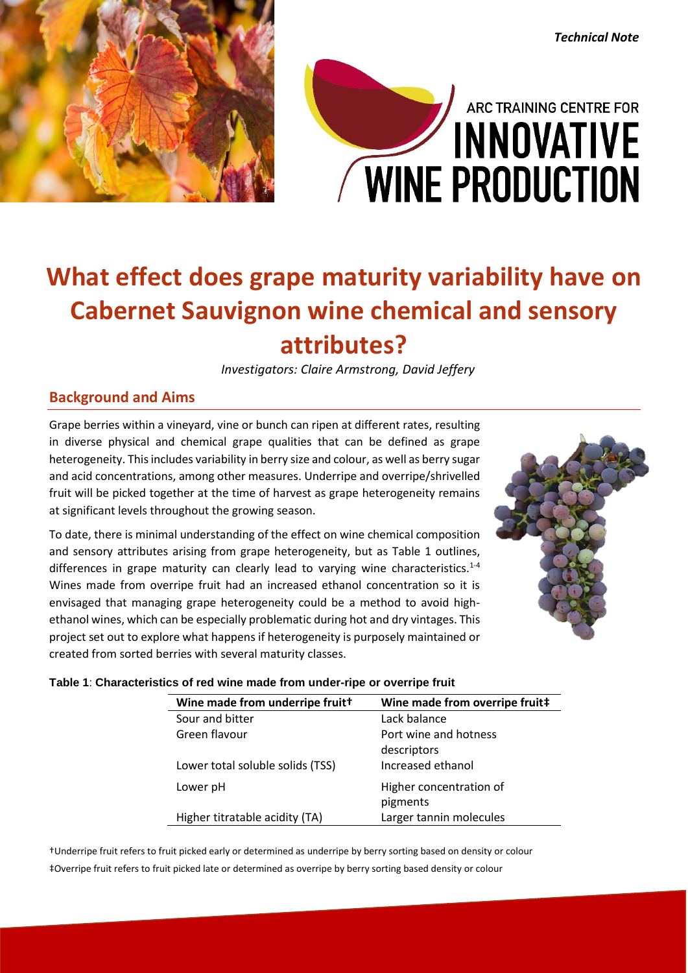

# ARC TRAINING CENTRE FOR **INNOVATIVE** WINE PRODUCTION

## **What effect does grape maturity variability have on Cabernet Sauvignon wine chemical and sensory attributes?**

*Investigators: Claire Armstrong, David Jeffery*

### **Background and Aims**

Grape berries within a vineyard, vine or bunch can ripen at different rates, resulting in diverse physical and chemical grape qualities that can be defined as grape heterogeneity. This includes variability in berry size and colour, as well as berry sugar and acid concentrations, among other measures. Underripe and overripe/shrivelled fruit will be picked together at the time of harvest as grape heterogeneity remains at significant levels throughout the growing season.

To date, there is minimal understanding of the effect on wine chemical composition and sensory attributes arising from grape heterogeneity, but as Table 1 outlines, differences in grape maturity can clearly lead to varying wine characteristics.<sup>1-4</sup> Wines made from overripe fruit had an increased ethanol concentration so it is envisaged that managing grape heterogeneity could be a method to avoid highethanol wines, which can be especially problematic during hot and dry vintages. This project set out to explore what happens if heterogeneity is purposely maintained or created from sorted berries with several maturity classes.



*Technical Note*

#### **Table 1**: **Characteristics of red wine made from under-ripe or overripe fruit**

| Wine made from underripe fruitt  | Wine made from overripe fruit# |
|----------------------------------|--------------------------------|
| Sour and bitter                  | Lack balance                   |
| Green flavour                    | Port wine and hotness          |
|                                  | descriptors                    |
| Lower total soluble solids (TSS) | Increased ethanol              |
| Lower pH                         | Higher concentration of        |
|                                  | pigments                       |
| Higher titratable acidity (TA)   | Larger tannin molecules        |

†Underripe fruit refers to fruit picked early or determined as underripe by berry sorting based on density or colour ‡Overripe fruit refers to fruit picked late or determined as overripe by berry sorting based density or colour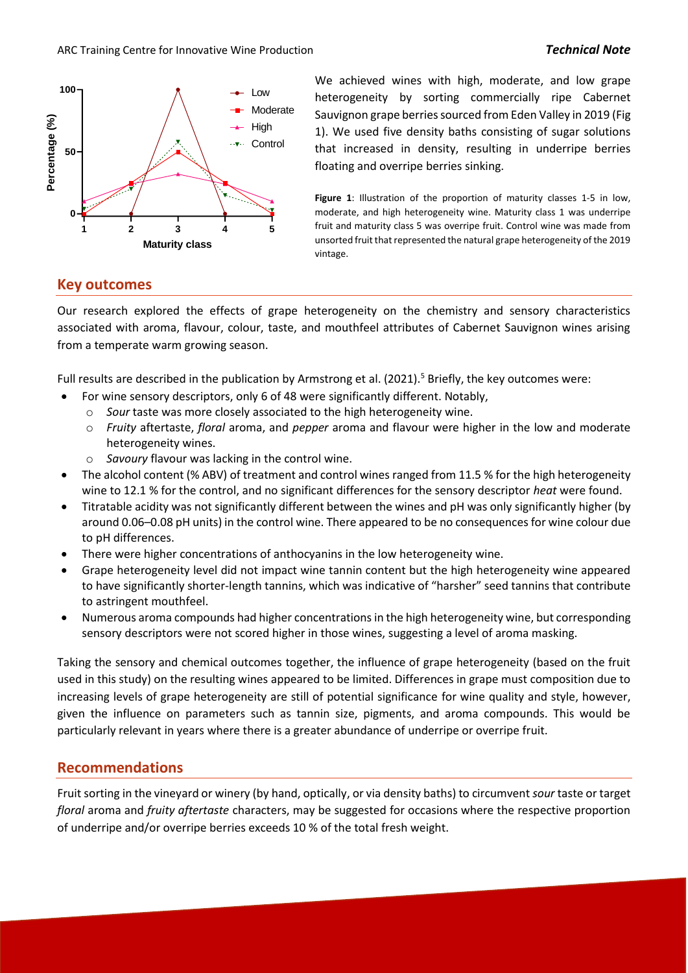



We achieved wines with high, moderate, and low grape Low heterogeneity by sorting commercially ripe Cabernet Sauvignon grape berries sourced from Eden Valley in 2019 (Fig 1). We used five density baths consisting of sugar solutions that increased in density, resulting in underripe berries floating and overripe berries sinking.

> **Figure 1:** Illustration of the proportion of maturity classes 1-5 in low. moderate, and high heterogeneity wine. Maturity class 1 was underripe fruit and maturity class 5 was overripe fruit. Control wine was made from unsorted fruit that represented the natural grape heterogeneity of the 2019 vintage.

#### **Key outcomes**

Our research explored the effects of grape heterogeneity on the chemistry and sensory characteristics associated with aroma, flavour, colour, taste, and mouthfeel attributes of Cabernet Sauvignon wines arising from a temperate warm growing season.

Full results are described in the publication by Armstrong et al.  $(2021)$ <sup>5</sup> Briefly, the key outcomes were:

- For wine sensory descriptors, only 6 of 48 were significantly different. Notably,
	- o *Sour* taste was more closely associated to the high heterogeneity wine.
	- o *Fruity* aftertaste, *floral* aroma, and *pepper* aroma and flavour were higher in the low and moderate heterogeneity wines.
	- o *Savoury* flavour was lacking in the control wine.
- The alcohol content (% ABV) of treatment and control wines ranged from 11.5 % for the high heterogeneity wine to 12.1 % for the control, and no significant differences for the sensory descriptor *heat* were found.
- Titratable acidity was not significantly different between the wines and pH was only significantly higher (by around 0.06–0.08 pH units) in the control wine. There appeared to be no consequences for wine colour due to pH differences.
- There were higher concentrations of anthocyanins in the low heterogeneity wine.
- Grape heterogeneity level did not impact wine tannin content but the high heterogeneity wine appeared to have significantly shorter-length tannins, which was indicative of "harsher" seed tannins that contribute to astringent mouthfeel.
- Numerous aroma compounds had higher concentrations in the high heterogeneity wine, but corresponding sensory descriptors were not scored higher in those wines, suggesting a level of aroma masking.

Taking the sensory and chemical outcomes together, the influence of grape heterogeneity (based on the fruit used in this study) on the resulting wines appeared to be limited. Differences in grape must composition due to increasing levels of grape heterogeneity are still of potential significance for wine quality and style, however, given the influence on parameters such as tannin size, pigments, and aroma compounds. This would be particularly relevant in years where there is a greater abundance of underripe or overripe fruit.

#### **Recommendations**

Fruit sorting in the vineyard or winery (by hand, optically, or via density baths) to circumvent *sour* taste or target *floral* aroma and *fruity aftertaste* characters, may be suggested for occasions where the respective proportion of underripe and/or overripe berries exceeds 10 % of the total fresh weight.